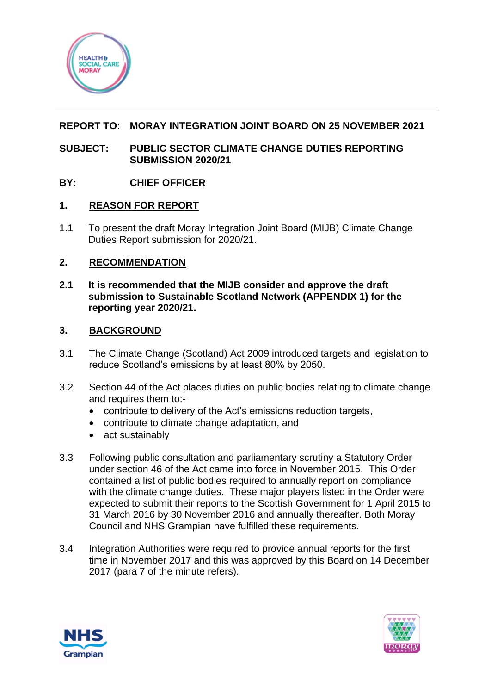

## **REPORT TO: MORAY INTEGRATION JOINT BOARD ON 25 NOVEMBER 2021**

### **SUBJECT: PUBLIC SECTOR CLIMATE CHANGE DUTIES REPORTING SUBMISSION 2020/21**

## **BY: CHIEF OFFICER**

## **1. REASON FOR REPORT**

1.1 To present the draft Moray Integration Joint Board (MIJB) Climate Change Duties Report submission for 2020/21.

### **2. RECOMMENDATION**

**2.1 It is recommended that the MIJB consider and approve the draft submission to Sustainable Scotland Network (APPENDIX 1) for the reporting year 2020/21.**

### **3. BACKGROUND**

- 3.1 The Climate Change (Scotland) Act 2009 introduced targets and legislation to reduce Scotland's emissions by at least 80% by 2050.
- 3.2 Section 44 of the Act places duties on public bodies relating to climate change and requires them to:-
	- contribute to delivery of the Act's emissions reduction targets,
	- contribute to climate change adaptation, and
	- act sustainably
- 3.3 Following public consultation and parliamentary scrutiny a Statutory Order under section 46 of the Act came into force in November 2015. This Order contained a list of public bodies required to annually report on compliance with the climate change duties. These major players listed in the Order were expected to submit their reports to the Scottish Government for 1 April 2015 to 31 March 2016 by 30 November 2016 and annually thereafter. Both Moray Council and NHS Grampian have fulfilled these requirements.
- 3.4 Integration Authorities were required to provide annual reports for the first time in November 2017 and this was approved by this Board on 14 December 2017 (para 7 of the minute refers).



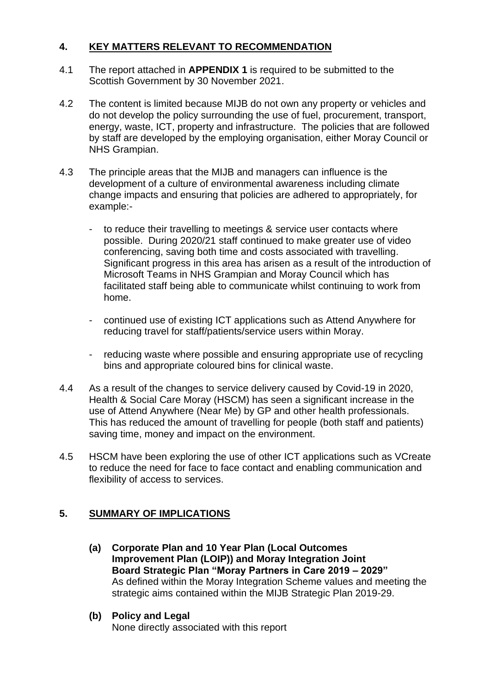# **4. KEY MATTERS RELEVANT TO RECOMMENDATION**

- 4.1 The report attached in **APPENDIX 1** is required to be submitted to the Scottish Government by 30 November 2021.
- 4.2 The content is limited because MIJB do not own any property or vehicles and do not develop the policy surrounding the use of fuel, procurement, transport, energy, waste, ICT, property and infrastructure. The policies that are followed by staff are developed by the employing organisation, either Moray Council or NHS Grampian.
- 4.3 The principle areas that the MIJB and managers can influence is the development of a culture of environmental awareness including climate change impacts and ensuring that policies are adhered to appropriately, for example:
	- to reduce their travelling to meetings & service user contacts where possible. During 2020/21 staff continued to make greater use of video conferencing, saving both time and costs associated with travelling. Significant progress in this area has arisen as a result of the introduction of Microsoft Teams in NHS Grampian and Moray Council which has facilitated staff being able to communicate whilst continuing to work from home.
	- continued use of existing ICT applications such as Attend Anywhere for reducing travel for staff/patients/service users within Moray.
	- reducing waste where possible and ensuring appropriate use of recycling bins and appropriate coloured bins for clinical waste.
- 4.4 As a result of the changes to service delivery caused by Covid-19 in 2020, Health & Social Care Moray (HSCM) has seen a significant increase in the use of Attend Anywhere (Near Me) by GP and other health professionals. This has reduced the amount of travelling for people (both staff and patients) saving time, money and impact on the environment.
- 4.5 HSCM have been exploring the use of other ICT applications such as VCreate to reduce the need for face to face contact and enabling communication and flexibility of access to services.

## **5. SUMMARY OF IMPLICATIONS**

- **(a) Corporate Plan and 10 Year Plan (Local Outcomes Improvement Plan (LOIP)) and Moray Integration Joint Board Strategic Plan "Moray Partners in Care 2019 – 2029"** As defined within the Moray Integration Scheme values and meeting the strategic aims contained within the MIJB Strategic Plan 2019-29.
- **(b) Policy and Legal**

None directly associated with this report